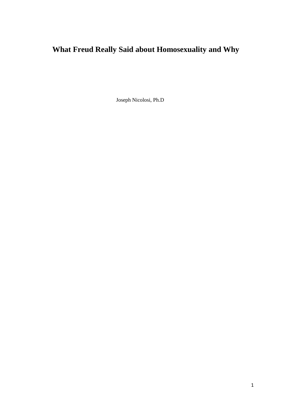# **What Freud Really Said about Homosexuality and Why**

Joseph Nicolosi, Ph.D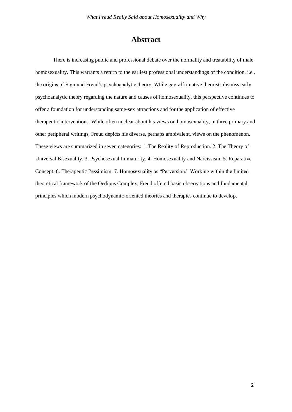# **Abstract**

There is increasing public and professional debate over the normality and treatability of male homosexuality. This warrants a return to the earliest professional understandings of the condition, i.e., the origins of Sigmund Freud's psychoanalytic theory. While gay-affirmative theorists dismiss early psychoanalytic theory regarding the nature and causes of homosexuality, this perspective continues to offer a foundation for understanding same-sex attractions and for the application of effective therapeutic interventions. While often unclear about his views on homosexuality, in three primary and other peripheral writings, Freud depicts his diverse, perhaps ambivalent, views on the phenomenon. These views are summarized in seven categories: 1. The Reality of Reproduction. 2. The Theory of Universal Bisexuality. 3. Psychosexual Immaturity. 4. Homosexuality and Narcissism. 5. Reparative Concept. 6. Therapeutic Pessimism. 7. Homosexuality as "Perversion." Working within the limited theoretical framework of the Oedipus Complex, Freud offered basic observations and fundamental principles which modern psychodynamic-oriented theories and therapies continue to develop.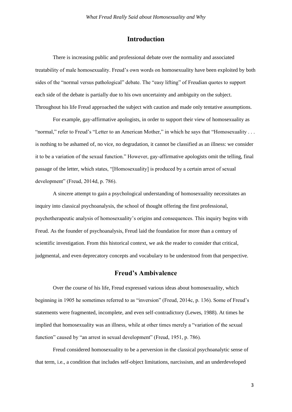## **Introduction**

There is increasing public and professional debate over the normality and associated treatability of male homosexuality. Freud's own words on homosexuality have been exploited by both sides of the "normal versus pathological" debate. The "easy lifting" of Freudian quotes to support each side of the debate is partially due to his own uncertainty and ambiguity on the subject. Throughout his life Freud approached the subject with caution and made only tentative assumptions.

For example, gay-affirmative apologists, in order to support their view of homosexuality as "normal," refer to Freud's "Letter to an American Mother," in which he says that "Homosexuality . . . is nothing to be ashamed of, no vice, no degradation, it cannot be classified as an illness: we consider it to be a variation of the sexual function." However, gay-affirmative apologists omit the telling, final passage of the letter, which states, "[Homosexuality] is produced by a certain arrest of sexual development" (Freud, 2014d, p. 786).

A sincere attempt to gain a psychological understanding of homosexuality necessitates an inquiry into classical psychoanalysis, the school of thought offering the first professional, psychotherapeutic analysis of homosexuality's origins and consequences. This inquiry begins with Freud. As the founder of psychoanalysis, Freud laid the foundation for more than a century of scientific investigation. From this historical context, we ask the reader to consider that critical, judgmental, and even deprecatory concepts and vocabulary to be understood from that perspective.

### **Freud's Ambivalence**

Over the course of his life, Freud expressed various ideas about homosexuality, which beginning in 1905 he sometimes referred to as "inversion" (Freud, 2014c, p. 136). Some of Freud's statements were fragmented, incomplete, and even self-contradictory (Lewes, 1988). At times he implied that homosexuality was an illness, while at other times merely a "variation of the sexual function" caused by "an arrest in sexual development" (Freud, 1951, p. 786).

Freud considered homosexuality to be a perversion in the classical psychoanalytic sense of that term, i.e., a condition that includes self-object limitations, narcissism, and an underdeveloped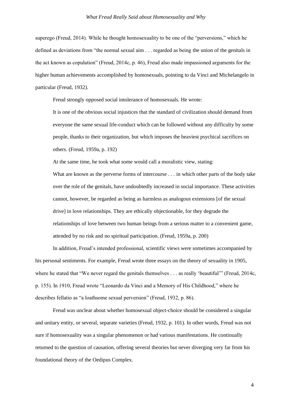superego (Freud, 2014). While he thought homosexuality to be one of the "perversions," which he defined as deviations from "the normal sexual aim . . . regarded as being the union of the genitals in the act known as copulation" (Freud, 2014c, p. 46), Freud also made impassioned arguments for the higher human achievements accomplished by homosexuals, pointing to da Vinci and Michelangelo in particular (Freud, 1932).

Freud strongly opposed social intolerance of homosexuals. He wrote:

It is one of the obvious social injustices that the standard of civilization should demand from everyone the same sexual life-conduct which can be followed without any difficulty by some people, thanks to their organization, but which imposes the heaviest psychical sacrifices on others. (Freud, 1959a, p. 192)

At the same time, he took what some would call a moralistic view, stating:

What are known as the perverse forms of intercourse . . . in which other parts of the body take over the role of the genitals, have undoubtedly increased in social importance. These activities cannot, however, be regarded as being as harmless as analogous extensions [of the sexual drive] in love relationships. They are ethically objectionable, for they degrade the relationships of love between two human beings from a serious matter to a convenient game, attended by no risk and no spiritual participation. (Freud, 1959a, p. 200)

In addition, Freud's intended professional, scientific views were sometimes accompanied by his personal sentiments. For example, Freud wrote three essays on the theory of sexuality in 1905, where he stated that "We never regard the genitals themselves . . . as really 'beautiful'" (Freud, 2014c, p. 155). In 1910, Freud wrote "Leonardo da Vinci and a Memory of His Childhood," where he describes fellatio as "a loathsome sexual perversion" (Freud, 1932, p. 86).

Freud was unclear about whether homosexual object-choice should be considered a singular and unitary entity, or several, separate varieties (Freud, 1932, p. 101). In other words, Freud was not sure if homosexuality was a singular phenomenon or had various manifestations. He continually returned to the question of causation, offering several theories but never diverging very far from his foundational theory of the Oedipus Complex.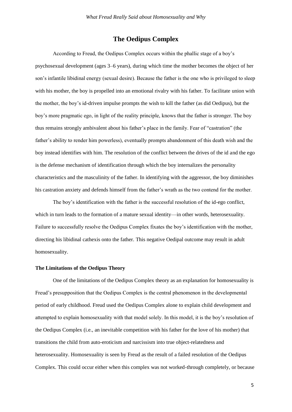# **The Oedipus Complex**

According to Freud, the Oedipus Complex occurs within the phallic stage of a boy's psychosexual development (ages 3–6 years), during which time the mother becomes the object of her son's infantile libidinal energy (sexual desire). Because the father is the one who is privileged to sleep with his mother, the boy is propelled into an emotional rivalry with his father. To facilitate union with the mother, the boy's id-driven impulse prompts the wish to kill the father (as did Oedipus), but the boy's more pragmatic ego, in light of the reality principle, knows that the father is stronger. The boy thus remains strongly ambivalent about his father's place in the family. Fear of "castration" (the father's ability to render him powerless), eventually prompts abandonment of this death wish and the boy instead identifies with him. The resolution of the conflict between the drives of the id and the ego is the defense mechanism of identification through which the boy internalizes the personality characteristics and the masculinity of the father. In identifying with the aggressor, the boy diminishes his castration anxiety and defends himself from the father's wrath as the two contend for the mother.

The boy's identification with the father is the successful resolution of the id-ego conflict, which in turn leads to the formation of a mature sexual identity—in other words, heterosexuality. Failure to successfully resolve the Oedipus Complex fixates the boy's identification with the mother, directing his libidinal cathexis onto the father. This negative Oedipal outcome may result in adult homosexuality.

#### **The Limitations of the Oedipus Theory**

One of the limitations of the Oedipus Complex theory as an explanation for homosexuality is Freud's presupposition that the Oedipus Complex is the central phenomenon in the developmental period of early childhood. Freud used the Oedipus Complex alone to explain child development and attempted to explain homosexuality with that model solely. In this model, it is the boy's resolution of the Oedipus Complex (i.e., an inevitable competition with his father for the love of his mother) that transitions the child from auto-eroticism and narcissism into true object-relatedness and heterosexuality. Homosexuality is seen by Freud as the result of a failed resolution of the Oedipus Complex. This could occur either when this complex was not worked-through completely, or because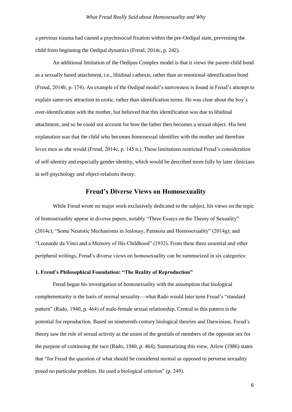a previous trauma had caused a psychosocial fixation within the pre-Oedipal state, preventing the child from beginning the Oedipal dynamics (Freud, 2014c, p. 242).

An additional limitation of the Oedipus Complex model is that it views the parent-child bond as a sexually based attachment, i.e., libidinal cathexis, rather than an emotional-identification bond (Freud, 2014b, p. 174). An example of the Oedipal model's narrowness is found in Freud's attempt to explain same-sex attraction in erotic, rather than identification terms. He was clear about the boy's over-identification with the mother, but believed that this identification was due to libidinal attachment, and so he could not account for how the father then becomes a sexual object. His best explanation was that the child who becomes homosexual identifies with the mother and therefore loves men as she would (Freud, 2014c, p. 145 n.). These limitations restricted Freud's consideration of self-identity and especially gender identity, which would be described more fully by later clinicians in self-psychology and object-relations theory.

## **Freud's Diverse Views on Homosexuality**

While Freud wrote no major work exclusively dedicated to the subject, his views on the topic of homosexuality appear in diverse papers, notably "Three Essays on the Theory of Sexuality" (2014c); "Some Neurotic Mechanisms in Jealousy, Paranoia and Homosexuality" (2014g); and "Leonardo da Vinci and a Memory of His Childhood" (1932). From these three essential and other peripheral writings, Freud's diverse views on homosexuality can be summarized in six categories:

#### **1. Freud's Philosophical Foundation: "The Reality of Reproduction"**

Freud began his investigation of homosexuality with the assumption that biological complementarity is the basis of normal sexuality—what Rado would later term Freud's "standard pattern" (Rado, 1940, p. 464) of male-female sexual relationship. Central to this pattern is the potential for reproduction. Based on nineteenth-century biological theories and Darwinism, Freud's theory saw the role of sexual activity as the union of the genitals of members of the opposite sex for the purpose of continuing the race (Rado, 1940, p. 464). Summarizing this view, Arlow (1986) states that "for Freud the question of what should be considered normal as opposed to perverse sexuality posed no particular problem. He used a biological criterion" (p. 249).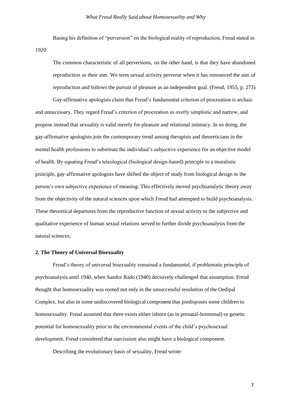Basing his definition of "perversion" on the biological reality of reproduction, Freud stated in 1920:

The common characteristic of all perversions, on the other hand, is that they have abandoned reproduction as their aim. We term sexual activity perverse when it has renounced the aim of reproduction and follows the pursuit of pleasure as an independent goal. (Freud, 1955, p. 273)

Gay-affirmative apologists claim that Freud's fundamental criterion of procreation is archaic and unnecessary. They regard Freud's criterion of procreation as overly simplistic and narrow, and propose instead that sexuality is valid merely for pleasure and relational intimacy. In so doing, the gay-affirmative apologists join the contemporary trend among therapists and theoreticians in the mental health professions to substitute the individual's subjective experience for an objective model of health. By equating Freud's teleological (biological design-based) principle to a moralistic principle, gay-affirmative apologists have shifted the object of study from biological design to the person's own subjective experience of meaning. This effectively moved psychoanalytic theory away from the objectivity of the natural sciences upon which Freud had attempted to build psychoanalysis. These theoretical departures from the reproductive function of sexual activity to the subjective and qualitative experience of human sexual relations served to further divide psychoanalysis from the natural sciences.

#### **2. The Theory of Universal Bisexuality**

Freud's theory of universal bisexuality remained a fundamental, if problematic principle of psychoanalysis until 1940, when Sandor Rado (1940) decisively challenged that assumption. Freud thought that homosexuality was rooted not only in the unsuccessful resolution of the Oedipal Complex, but also in some undiscovered biological component that predisposes some children to homosexuality. Freud assumed that there exists either inborn (as in prenatal-hormonal) or genetic potential for homosexuality prior to the environmental events of the child's psychosexual development. Freud considered that narcissism also might have a biological component.

Describing the evolutionary basis of sexuality, Freud wrote: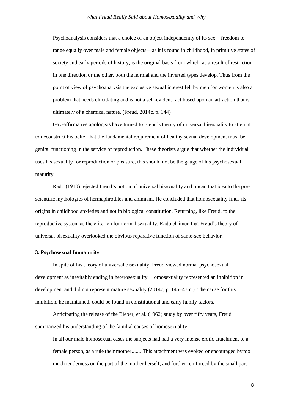Psychoanalysis considers that a choice of an object independently of its sex—freedom to range equally over male and female objects—as it is found in childhood, in primitive states of society and early periods of history, is the original basis from which, as a result of restriction in one direction or the other, both the normal and the inverted types develop. Thus from the point of view of psychoanalysis the exclusive sexual interest felt by men for women is also a problem that needs elucidating and is not a self-evident fact based upon an attraction that is ultimately of a chemical nature. (Freud, 2014c, p. 144)

Gay-affirmative apologists have turned to Freud's theory of universal bisexuality to attempt to deconstruct his belief that the fundamental requirement of healthy sexual development must be genital functioning in the service of reproduction. These theorists argue that whether the individual uses his sexuality for reproduction or pleasure, this should not be the gauge of his psychosexual maturity.

Rado (1940) rejected Freud's notion of universal bisexuality and traced that idea to the prescientific mythologies of hermaphrodites and animism. He concluded that homosexuality finds its origins in childhood anxieties and not in biological constitution. Returning, like Freud, to the reproductive system as the criterion for normal sexuality, Rado claimed that Freud's theory of universal bisexuality overlooked the obvious reparative function of same-sex behavior.

#### **3. Psychosexual Immaturity**

In spite of his theory of universal bisexuality, Freud viewed normal psychosexual development as inevitably ending in heterosexuality. Homosexuality represented an inhibition in development and did not represent mature sexuality (2014c, p. 145–47 n.). The cause for this inhibition, he maintained, could be found in constitutional and early family factors.

Anticipating the release of the Bieber, et al. (1962) study by over fifty years, Freud summarized his understanding of the familial causes of homosexuality:

In all our male homosexual cases the subjects had had a very intense erotic attachment to a female person, as a rule their mother........This attachment was evoked or encouraged by too much tenderness on the part of the mother herself, and further reinforced by the small part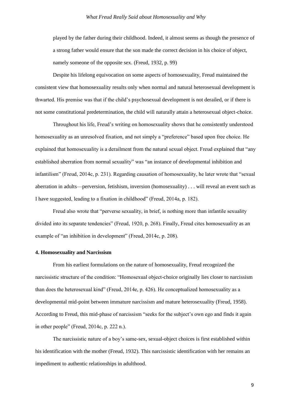played by the father during their childhood. Indeed, it almost seems as though the presence of a strong father would ensure that the son made the correct decision in his choice of object, namely someone of the opposite sex. (Freud, 1932, p. 99)

Despite his lifelong equivocation on some aspects of homosexuality, Freud maintained the consistent view that homosexuality results only when normal and natural heterosexual development is thwarted. His premise was that if the child's psychosexual development is not derailed, or if there is not some constitutional predetermination, the child will naturally attain a heterosexual object-choice.

Throughout his life, Freud's writing on homosexuality shows that he consistently understood homosexuality as an unresolved fixation, and not simply a "preference" based upon free choice. He explained that homosexuality is a derailment from the natural sexual object. Freud explained that "any established aberration from normal sexuality" was "an instance of developmental inhibition and infantilism" (Freud, 2014c, p. 231). Regarding causation of homosexuality, he later wrote that "sexual aberration in adults—perversion, fetishism, inversion (homosexuality) . . . will reveal an event such as I have suggested, leading to a fixation in childhood" (Freud, 2014a, p. 182).

Freud also wrote that "perverse sexuality, in brief, is nothing more than infantile sexuality divided into its separate tendencies" (Freud, 1920, p. 268). Finally, Freud cites homosexuality as an example of "an inhibition in development" (Freud, 2014c, p. 208).

#### **4. Homosexuality and Narcissism**

From his earliest formulations on the nature of homosexuality, Freud recognized the narcissistic structure of the condition: "Homosexual object-choice originally lies closer to narcissism than does the heterosexual kind" (Freud, 2014e, p. 426). He conceptualized homosexuality as a developmental mid-point between immature narcissism and mature heterosexuality (Freud, 1958). According to Freud, this mid-phase of narcissism "seeks for the subject's own ego and finds it again in other people" (Freud, 2014c, p. 222 n.).

The narcissistic nature of a boy's same-sex, sexual-object choices is first established within his identification with the mother (Freud, 1932). This narcissistic identification with her remains an impediment to authentic relationships in adulthood.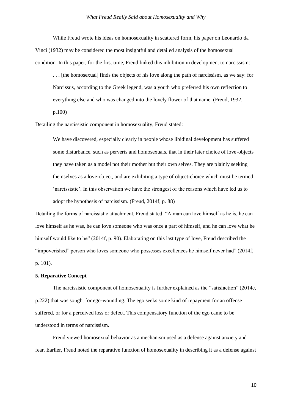While Freud wrote his ideas on homosexuality in scattered form, his paper on Leonardo da Vinci (1932) may be considered the most insightful and detailed analysis of the homosexual condition. In this paper, for the first time, Freud linked this inhibition in development to narcissism:

. . . [the homosexual] finds the objects of his love along the path of narcissism, as we say: for Narcissus, according to the Greek legend, was a youth who preferred his own reflection to everything else and who was changed into the lovely flower of that name. (Freud, 1932,

p.100)

Detailing the narcissistic component in homosexuality, Freud stated:

We have discovered, especially clearly in people whose libidinal development has suffered some disturbance, such as perverts and homosexuals, that in their later choice of love-objects they have taken as a model not their mother but their own selves. They are plainly seeking themselves as a love-object, and are exhibiting a type of object-choice which must be termed 'narcissistic'. In this observation we have the strongest of the reasons which have led us to adopt the hypothesis of narcissism. (Freud, 2014f, p. 88)

Detailing the forms of narcissistic attachment, Freud stated: "A man can love himself as he is, he can love himself as he was, he can love someone who was once a part of himself, and he can love what he himself would like to be" (2014f, p. 90). Elaborating on this last type of love, Freud described the "impoverished" person who loves someone who possesses excellences he himself never had" (2014f, p. 101).

#### **5. Reparative Concept**

The narcissistic component of homosexuality is further explained as the "satisfaction" (2014c, p.222) that was sought for ego-wounding. The ego seeks some kind of repayment for an offense suffered, or for a perceived loss or defect. This compensatory function of the ego came to be understood in terms of narcissism.

Freud viewed homosexual behavior as a mechanism used as a defense against anxiety and fear. Earlier, Freud noted the reparative function of homosexuality in describing it as a defense against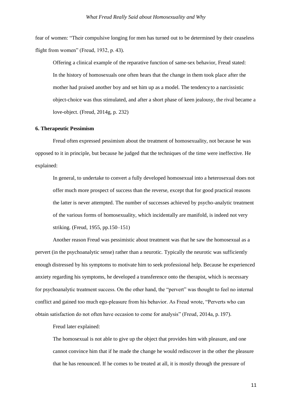fear of women: "Their compulsive longing for men has turned out to be determined by their ceaseless flight from women" (Freud, 1932, p. 43).

Offering a clinical example of the reparative function of same-sex behavior, Freud stated: In the history of homosexuals one often hears that the change in them took place after the mother had praised another boy and set him up as a model. The tendencyto a narcissistic object-choice was thus stimulated, and after a short phase of keen jealousy, the rival became a love-object. (Freud, 2014g, p. 232)

#### **6. Therapeutic Pessimism**

Freud often expressed pessimism about the treatment of homosexuality, not because he was opposed to it in principle, but because he judged that the techniques of the time were ineffective. He explained:

In general, to undertake to convert a fully developed homosexual into a heterosexual does not offer much more prospect of success than the reverse, except that for good practical reasons the latter is never attempted. The number of successes achieved by psycho-analytic treatment of the various forms of homosexuality, which incidentally are manifold, is indeed not very striking. (Freud, 1955, pp.150–151)

Another reason Freud was pessimistic about treatment was that he saw the homosexual as a pervert (in the psychoanalytic sense) rather than a neurotic. Typically the neurotic was sufficiently enough distressed by his symptoms to motivate him to seek professional help. Because he experienced anxiety regarding his symptoms, he developed a transference onto the therapist, which is necessary for psychoanalytic treatment success. On the other hand, the "pervert" was thought to feel no internal conflict and gained too much ego-pleasure from his behavior. As Freud wrote, "Perverts who can obtain satisfaction do not often have occasion to come for analysis" (Freud, 2014a, p. 197).

Freud later explained:

The homosexual is not able to give up the object that provides him with pleasure, and one cannot convince him that if he made the change he would rediscover in the other the pleasure that he has renounced. If he comes to be treated at all, it is mostly through the pressure of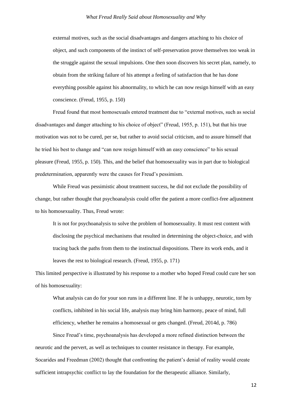external motives, such as the social disadvantages and dangers attaching to his choice of object, and such components of the instinct of self-preservation prove themselves too weak in the struggle against the sexual impulsions. One then soon discovers his secret plan, namely, to obtain from the striking failure of his attempt a feeling of satisfaction that he has done everything possible against his abnormality, to which he can now resign himself with an easy conscience. (Freud, 1955, p. 150)

Freud found that most homosexuals entered treatment due to "external motives, such as social disadvantages and danger attaching to his choice of object" (Freud, 1955, p. 151), but that his true motivation was not to be cured, per se, but rather to avoid social criticism, and to assure himself that he tried his best to change and "can now resign himself with an easy conscience" to his sexual pleasure (Freud, 1955, p. 150). This, and the belief that homosexuality was in part due to biological predetermination, apparently were the causes for Freud's pessimism.

While Freud was pessimistic about treatment success, he did not exclude the possibility of change, but rather thought that psychoanalysis could offer the patient a more conflict-free adjustment to his homosexuality. Thus, Freud wrote:

It is not for psychoanalysis to solve the problem of homosexuality. It must rest content with disclosing the psychical mechanisms that resulted in determining the object-choice, and with tracing back the paths from them to the instinctual dispositions. There its work ends, and it leaves the rest to biological research. (Freud, 1955, p. 171)

This limited perspective is illustrated by his response to a mother who hoped Freud could cure her son of his homosexuality:

What analysis can do for your son runs in a different line. If he is unhappy, neurotic, torn by conflicts, inhibited in his social life, analysis may bring him harmony, peace of mind, full efficiency, whether he remains a homosexual or gets changed. (Freud, 2014d, p. 786)

Since Freud's time, psychoanalysis has developed a more refined distinction between the neurotic and the pervert, as well as techniques to counter resistance in therapy. For example, Socarides and Freedman (2002) thought that confronting the patient's denial of reality would create sufficient intrapsychic conflict to lay the foundation for the therapeutic alliance. Similarly,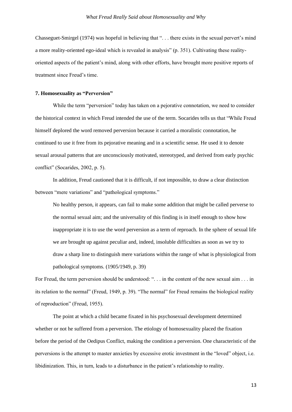Chasseguet-Smirgel (1974) was hopeful in believing that ". . . there exists in the sexual pervert's mind a more reality-oriented ego-ideal which is revealed in analysis" (p. 351). Cultivating these realityoriented aspects of the patient's mind, along with other efforts, have brought more positive reports of treatment since Freud's time.

#### **7. Homosexuality as "Perversion"**

While the term "perversion" today has taken on a pejorative connotation, we need to consider the historical context in which Freud intended the use of the term. Socarides tells us that "While Freud himself deplored the word removed perversion because it carried a moralistic connotation, he continued to use it free from its pejorative meaning and in a scientific sense. He used it to denote sexual arousal patterns that are unconsciously motivated, stereotyped, and derived from early psychic conflict" (Socarides, 2002, p. 5).

In addition, Freud cautioned that it is difficult, if not impossible, to draw a clear distinction between "mere variations" and "pathological symptoms."

No healthy person, it appears, can fail to make some addition that might be called perverse to the normal sexual aim; and the universality of this finding is in itself enough to show how inappropriate it is to use the word perversion as a term of reproach. In the sphere of sexual life we are brought up against peculiar and, indeed, insoluble difficulties as soon as we try to draw a sharp line to distinguish mere variations within the range of what is physiological from pathological symptoms. (1905/1949, p. 39)

For Freud, the term perversion should be understood: ". . . in the content of the new sexual aim . . . in its relation to the normal" (Freud, 1949, p. 39). "The normal" for Freud remains the biological reality of reproduction" (Freud, 1955).

The point at which a child became fixated in his psychosexual development determined whether or not he suffered from a perversion. The etiology of homosexuality placed the fixation before the period of the Oedipus Conflict, making the condition a perversion. One characteristic of the perversions is the attempt to master anxieties by excessive erotic investment in the "loved" object, i.e. libidinization. This, in turn, leads to a disturbance in the patient's relationship to reality.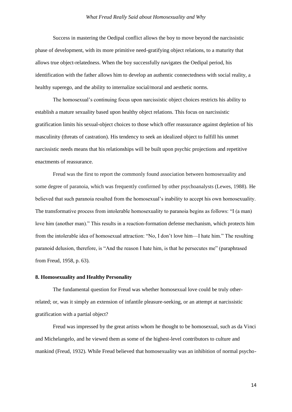Success in mastering the Oedipal conflict allows the boy to move beyond the narcissistic phase of development, with its more primitive need-gratifying object relations, to a maturity that allows true object-relatedness. When the boy successfully navigates the Oedipal period, his identification with the father allows him to develop an authentic connectedness with social reality, a healthy superego, and the ability to internalize social/moral and aesthetic norms.

The homosexual's continuing focus upon narcissistic object choices restricts his ability to establish a mature sexuality based upon healthy object relations. This focus on narcissistic gratification limits his sexual-object choices to those which offer reassurance against depletion of his masculinity (threats of castration). His tendency to seek an idealized object to fulfill his unmet narcissistic needs means that his relationships will be built upon psychic projections and repetitive enactments of reassurance.

Freud was the first to report the commonly found association between homosexuality and some degree of paranoia, which was frequently confirmed by other psychoanalysts (Lewes, 1988). He believed that such paranoia resulted from the homosexual's inability to accept his own homosexuality. The transformative process from intolerable homosexuality to paranoia begins as follows: "I (a man) love him (another man)." This results in a reaction-formation defense mechanism, which protects him from the intolerable idea of homosexual attraction: "No, I don't love him—I hate him." The resulting paranoid delusion, therefore, is "And the reason I hate him, is that he persecutes me" (paraphrased from Freud, 1958, p. 63).

#### **8. Homosexuality and Healthy Personality**

The fundamental question for Freud was whether homosexual love could be truly otherrelated; or, was it simply an extension of infantile pleasure-seeking, or an attempt at narcissistic gratification with a partial object?

Freud was impressed by the great artists whom he thought to be homosexual, such as da Vinci and Michelangelo, and he viewed them as some of the highest-level contributors to culture and mankind (Freud, 1932). While Freud believed that homosexuality was an inhibition of normal psycho-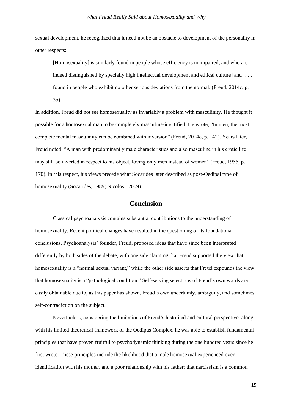sexual development, he recognized that it need not be an obstacle to development of the personality in other respects:

[Homosexuality] is similarly found in people whose efficiency is unimpaired, and who are indeed distinguished by specially high intellectual development and ethical culture [and] . . . found in people who exhibit no other serious deviations from the normal. (Freud, 2014c, p.

35)

In addition, Freud did not see homosexuality as invariably a problem with masculinity. He thought it possible for a homosexual man to be completely masculine-identified. He wrote, "In men, the most complete mental masculinity can be combined with inversion" (Freud, 2014c, p. 142). Years later, Freud noted: "A man with predominantly male characteristics and also masculine in his erotic life may still be inverted in respect to his object, loving only men instead of women" (Freud, 1955, p. 170). In this respect, his views precede what Socarides later described as post-Oedipal type of homosexuality (Socarides, 1989; Nicolosi, 2009).

# **Conclusion**

Classical psychoanalysis contains substantial contributions to the understanding of homosexuality. Recent political changes have resulted in the questioning of its foundational conclusions. Psychoanalysis' founder, Freud, proposed ideas that have since been interpreted differently by both sides of the debate, with one side claiming that Freud supported the view that homosexuality is a "normal sexual variant," while the other side asserts that Freud expounds the view that homosexuality is a "pathological condition." Self-serving selections of Freud's own words are easily obtainable due to, as this paper has shown, Freud's own uncertainty, ambiguity, and sometimes self-contradiction on the subject.

Nevertheless, considering the limitations of Freud's historical and cultural perspective, along with his limited theoretical framework of the Oedipus Complex, he was able to establish fundamental principles that have proven fruitful to psychodynamic thinking during the one hundred years since he first wrote. These principles include the likelihood that a male homosexual experienced overidentification with his mother, and a poor relationship with his father; that narcissism is a common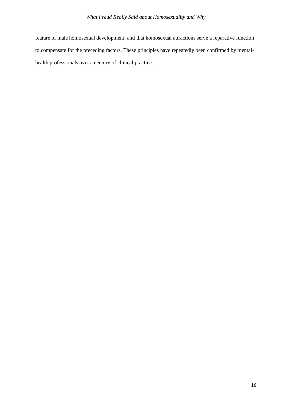feature of male homosexual development; and that homosexual attractions serve a reparative function to compensate for the preceding factors. These principles have repeatedly been confirmed by mentalhealth professionals over a century of clinical practice.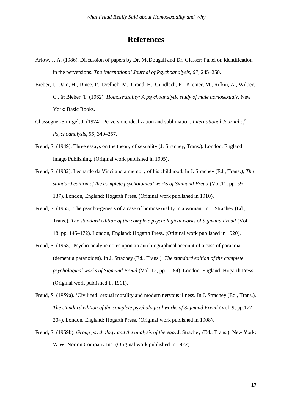# **References**

- Arlow, J. A. (1986). Discussion of papers by Dr. McDougall and Dr. Glasser: Panel on identification in the perversions. *The International Journal of Psychoanalysis, 67*, 245–250.
- Bieber, I., Dain, H., Dince, P., Drellich, M., Grand, H., Gundlach, R., Kremer, M., Rifkin, A., Wilber, C., & Bieber, T. (1962). *Homosexuality: A psychoanalytic study of male homosexuals*. New York: Basic Books.
- Chasseguet-Smirgel, J. (1974). Perversion, idealization and sublimation. *International Journal of Psychoanalysis, 55*, 349–357.
- Freud, S. (1949). Three essays on the theory of sexuality (J. Strachey, Trans.). London, England: Imago Publishing. (Original work published in 1905).
- Freud, S. (1932). Leonardo da Vinci and a memory of his childhood. In J. Strachey (Ed., Trans*.)*, *The standard edition of the complete psychological works of Sigmund Freud* (Vol.11, pp. 59– 137). London, England: Hogarth Press. (Original work published in 1910).
- Freud, S. (1955). The psycho-genesis of a case of homosexuality in a woman. In J. Strachey (Ed., Trans.), *The standard edition of the complete psychological works of Sigmund Freud* (Vol. 18, pp. 145–172). London, England: Hogarth Press. (Original work published in 1920).
- Freud, S. (1958). Psycho-analytic notes upon an autobiographical account of a case of paranoia (dementia paranoides). In J. Strachey (Ed., Trans.), *The standard edition of the complete psychological works of Sigmund Freud* (Vol. 12, pp. 1–84). London, England: Hogarth Press. (Original work published in 1911).
- Freud, S. (1959a). 'Civilized' sexual morality and modern nervous illness. In J. Strachey (Ed., Trans.), *The standard edition of the complete psychological works of Sigmund Freud (Vol. 9, pp.177–* 204). London, England: Hogarth Press. (Original work published in 1908).
- Freud, S. (1959b). *Group psychology and the analysis of the ego*. J. Strachey (Ed., Trans.). New York: W.W. Norton Company Inc. (Original work published in 1922).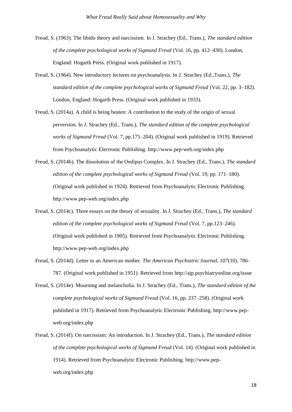- Freud, S. (1963). The libido theory and narcissism. In J. Strachey (Ed., Trans.), *The standard edition of the complete psychological works of Sigmund Freud* (Vol. 16, pp. 412–430). London, England: Hogarth Press. (Original work published in 1917).
- Freud, S. (1964). New introductory lectures on psychoanalysis. In J. Strachey (Ed.,Trans.), *The standard edition of the complete psychological works of Sigmund Freud* (Vol. 22, pp. 3–182). London, England: Hogarth Press. (Original work published in 1933).
- Freud, S. (2014a). A child is being beaten: A contribution to the study of the origin of sexual perversion. In J. Strachey (Ed., Trans.), *The standard edition of the complete psychological works of Sigmund Freud* (Vol. 7, pp.175–204). (Original work published in 1919). Retrieved from Psychoanalytic Electronic Publishing.<http://www.pep-web.org/index.php>
- Freud, S. (2014b). The dissolution of the Oedipus Complex. In J. Strachey (Ed., Trans.), *The standard edition of the complete psychological works of Sigmund Freud (Vol. 19, pp. 171–180).* (Original work published in 1924). Retrieved from Psychoanalytic Electronic Publishing. <http://www.pep-web.org/index.php>
- Freud, S. (2014c). Three essays on the theory of sexuality. In J. Strachey (Ed., Trans.), *The standard edition of the complete psychological works of Sigmund Freud* (Vol. 7, pp.123–246). (Original work published in 1905). Retrieved from Psychoanalytic Electronic Publishing. <http://www.pep-web.org/index.php>
- Freud, S. (2014d). Letter to an American mother. *The American Psychiatric Journal, 107*(10), 786– 787. (Original work published in 1951). Retrieved from<http://ajp.psychiatryonline.org/issue>
- Freud, S. (2014e). Mourning and melancholia. In J. Strachey (Ed., Trans.), *The standard edition of the complete psychological works of Sigmund Freud* (Vol. 16, pp. 237–258). (Original work published in 1917). Retrieved from Psychoanalytic Electronic Publishing. http://www.pepweb.org/index.php
- Freud, S. (2014f). On narcissism: An introduction. In J. Strachey (Ed., Trans.), *The standard edition of the complete psychological works of Sigmund Freud* (Vol. 14). (Original work published in 1914). Retrieved from Psychoanalytic Electronic Publishing. http://www.pepweb.org/index.php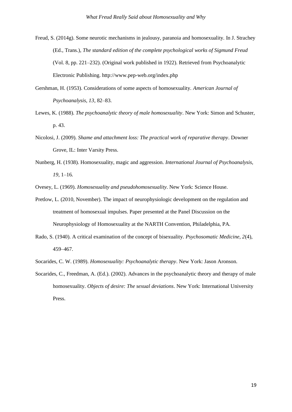- Freud, S. (2014g). Some neurotic mechanisms in jealousy, paranoia and homosexuality. In J. Strachey (Ed., Trans.), *The standard edition of the complete psychological works of Sigmund Freud*  (Vol. 8, pp. 221–232). (Original work published in 1922). Retrieved from Psychoanalytic Electronic Publishing. <http://www.pep-web.org/index.php>
- Gershman, H. (1953). Considerations of some aspects of homosexuality. *American Journal of Psychoanalysis, 13*, 82–83.
- Lewes, K. (1988). *The psychoanalytic theory of male homosexuality*. New York: Simon and Schuster, p. 43.
- Nicolosi, J. (2009). *Shame and attachment loss: The practical work of reparative therapy*. Downer Grove, IL: Inter Varsity Press.
- Nunberg, H. (1938). Homosexuality, magic and aggression. *International Journal of Psychoanalysis, 19*, 1–16.

Ovesey, L. (1969). *Homosexuality and pseudohomosexuality*. New York: Science House.

- Pretlow, L. (2010, November). The impact of neurophysiologic development on the regulation and treatment of homosexual impulses. Paper presented at the Panel Discussion on the Neurophysiology of Homosexuality at the NARTH Convention, Philadelphia, PA.
- Rado, S. (1940). A critical examination of the concept of bisexuality. *Psychosomatic Medicine, 2*(4), 459–467.
- Socarides, C. W. (1989). *Homosexuality: Psychoanalytic therapy*. New York: Jason Aronson.
- Socarides, C., Freedman, A. (Ed.). (2002). Advances in the psychoanalytic theory and therapy of male homosexuality. *Objects of desire: The sexual deviations*. New York: International University Press.